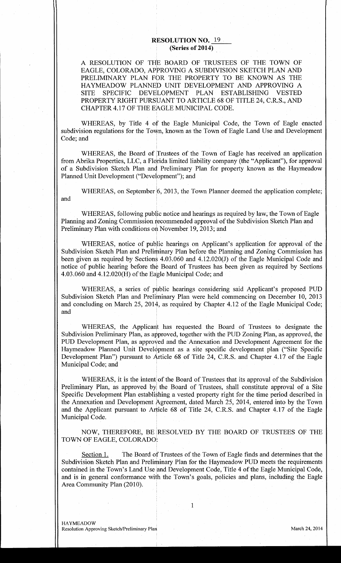## RESOLUTION NO. 19 (Series of 2014)

A RESOLUTION OF THE BOARD OF TRUSTEES OF THE TOWN OF EAGLE, COLORADO, APPROVING A SUBDIVISION SKETCH PLAN AND PRELIMINARY PLAN FOR THE PROPERTY TO BE KNOWN AS THE HAYMEADOW PLANNED UNIT DEVELOPMENT AND APPROVING A SITE SPECIFIC DEVELOPMENT PLAN ESTABLISHING VESTED HAYMEADOW PLANNED UNIT DEVELOPMENT AND APPROVING A<br>SITE SPECIFIC DEVELOPMENT PLAN ESTABLISHING VESTED<br>PROPERTY RIGHT PURSUANT TO ARTICLE 68 OF TITLE 24, C.R.S., AND<br>CHAPTER 4 17 OF THE EAGLE MUNICIPAL CODE SITE STECT DEVELOTMENT TEAN EST<br>PROPERTY RIGHT PURSUANT TO ARTICLE 68 OF<br>CHAPTER 4.17 OF THE EAGLE MUNICIPAL CODE.

WHEREAS, by Title 4 of the Eagle Municipal Code, the Town of Eagle enacted subdivision regulations for the Town known as the Town of Eagle Land Use and Development Code; and

WHEREAS, the Board of Trustees of the Town of Eagle has received an application from Abrika Properties, LLC, a Florida limited liability company (the "Applicant"), for approval of <sup>a</sup> Subdivision Sketch Plan and Preliminary Plan for property known as the Haymeadow Planned Unit Development ("Development"); and

WHEREAS, on September 6, 2013, the Town Planner deemed the application complete; and

WHEREAS, following public notice and hearings as required by law, the Town of Eagle Planning and Zoning Commission recommended approval of the Subdivision Sketch Plan and Preliminary Plan with conditions on November 19, 2013; and

WHEREAS, notice of public hearings on Applicant's application for approval of the Subdivision Sketch Plan and Preliminary Plan before the Planning and Zoning Commission has been given as required by Sections 4.03.060 and 4 Subdivision Sketch Plan and Preliminary Plan before the Planning and Zoning Commission has WIEREAS, following public hottee and healings as required by faw, the Town of Eagle<br>Planning and Zoning Commission recommended approval of the Subdivision Sketch Plan and<br>Preliminary Plan with conditions on November 19, 20 notice of public hearing before the Board of Trustees has been given as required by Sections 4.03.060 and 4.12.020(H) of the Eagle Municipal Code; and WHEREAS, notice of public hearings on Applica<br>Subdivision Sketch Plan and Preliminary Plan before the P<br>been given as required by Sections 4.03.060 and 4.12.0200<br>notice of public hearing before the Board of Trustees has<br>4. WHEREAS, notice of public hearings on Applicant's application for approval of the<br>Subdivision Sketch Plan and Preliminary Plan before the Planning and Zoning Commission has<br>been given as required by Sections 4.03.060 and 4

and

WHEREAS, the Applicant has requested the Board of Trustees to designate the Subdivision Preliminary Plan, as approved, together with the PUD Zoning Plan, as approved, the PUD Development Plan, as approved and the Annexation and Development Agreement for the Haymeadow Planned Unit Development as a site specific development plan ("Site Specific PUD Development Plan, as approved and the Annexation and Development Agreement for the<br>Haymeadow Planned Unit Development as a site specific development plan ("Site Specific<br>Development Plan") pursuant to Article 68 of Tit Municipal Code; and

WHEREAS, it is the intent of the Board of Trustees that its approval of the Subdivision Preliminary Plan, as approved by the Board of Trustees, shall constitute approval of a Site Specific Development Plan establishing <sup>a</sup> vested property right for the time period described in the Annexation and Development Agreement, dated March 25, 2014, entered into by the Town and the Applicant pursuant to Article 68 of Title 24, C.R.S. and Chapter 4.17 of the Eagle Municipal Code

NOW, THEREFORE, BE RESOLVED BY THE BOARD OF TRUSTEES OF THE TOWN OF EAGLE, COLORADO:

Section 1. The Board of Trustees of the Town of Eagle finds and determines that the Subdivision Sketch Plan and Preliminary Plan for the Haymeadow PUD meets the requirements Section 1. The Board of Trustees of the Town of Eagle finds and determines that the<br>Subdivision Sketch Plan and Preliminary Plan for the Haymeadow PUD meets the requirements<br>contained in the Town's Land Use and Development Section 1. The Board of Trustees of the Town of Eagle finds and determines that the Subdivision Sketch Plan and Preliminary Plan for the Haymeadow PUD meets the requirements contained in the Town's Land Use and Development Area Community Plan (2010).

1